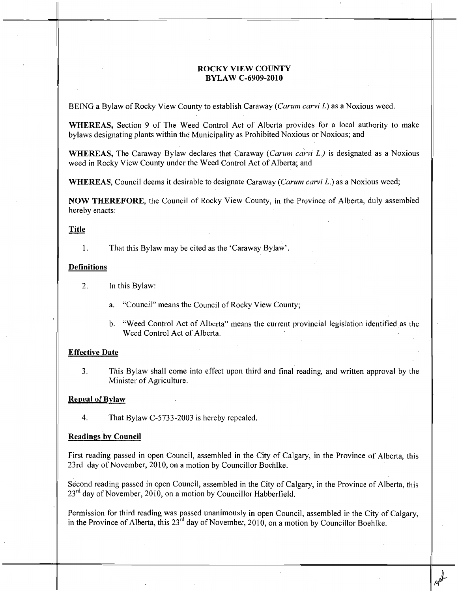# ROCKY VIEW COUNTY BYLAW C-6909-2010

BEING a Bylaw of Rocky View County to establish Caraway (*Carum carvi L*) as a Noxious weed.

WHEREAS, Section 9 of The Weed Control Act of Alberta provides for a local authority to make bylaws designating plants within the Municipality as Prohibited Noxious or Noxious; and

WHEREAS, The Caraway Bylaw declares that Caraway (Carum carvi L.) is designated as a Noxious weed in Rocky View County under the Weed Control Act of Alberta; and

WHEREAS, Council deems it desirable to designate Caraway (Carum carvi  $L$ .) as a Noxious weed;

NOW THEREFORE, the Council of Rocky View County, in the Province of Alberta, duly assembled hereby enacts:

### Title

1. That this Bylaw may be cited as the 'Caraway Bylaw'.

#### Definitions

- 2. In this Bylaw:
	- a. "Council" means the Council of Rocky View County;
	- b. "Weed Control Act of Alberta" means the current provincial legislation identified as the Weed Control Act of Alberta.

#### Effective Date

3. This Bylaw shall come into effect upon third and final reading, and written approval by the Minister of Agriculture.

## Repeal of Bylaw

4. That Bylaw C-5733-2003 is hereby repealed.

#### Readings by Council

First reading passed in open Council, assembled in the City of Calgary, in the Province of Alberta, this 23rd day of November, 2010, on a motion by Councillor Boehlke.

Second reading passed in open Council, assembled in the City of Calgary, in the Province of Alberta, this 23<sup>rd</sup> day of November, 2010, on a motion by Councillor Habberfield.

Permission for third reading was passed unanimously in open Council, assembled in the City of Calgary, in the Province of Alberta, this  $23^{rd}$  day of November, 2010, on a motion by Councillor Boehlke.